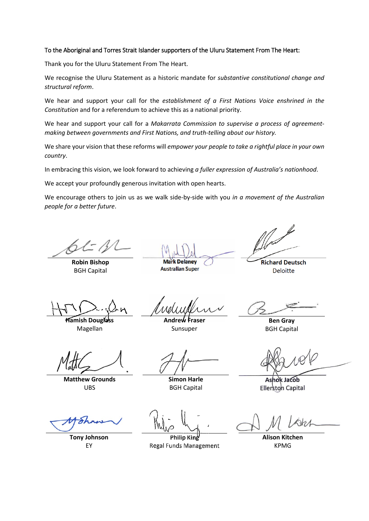## To the Aboriginal and Torres Strait Islander supporters of the Uluru Statement From The Heart:

Thank you for the Uluru Statement From The Heart.

We recognise the Uluru Statement as a historic mandate for *substantive constitutional change and structural reform*.

We hear and support your call for the *establishment of a First Nations Voice enshrined in the Constitution* and for a referendum to achieve this as a national priority.

We hear and support your call for a *Makarrata Commission to supervise a process of agreementmaking between governments and First Nations, and truth-telling about our history.*

We share your vision that these reforms will *empower your people to take a rightful place in your own country*.

In embracing this vision, we look forward to achieving *a fuller expression of Australia's nationhood*.

We accept your profoundly generous invitation with open hearts.

We encourage others to join us as we walk side-by-side with you *in a movement of the Australian people for a better future*.

**Robin Bishop** BGH Capital

**Mark Delaney** 

**Australian Super** 

**Richard Deutsch Deloitte** 

**Hamish Douglass** Magellan

**Andrew Fraser** Sunsuper

**Ben Gray** BGH Capital

**Matthew Grounds** UBS

**Tony Johnson** EY

**Simon Harle** BGH Capital

Ashok Jacob Ellerston Capital

Philio Kiné **Regal Funds Management** 

**Alison Kitchen**

KPMG